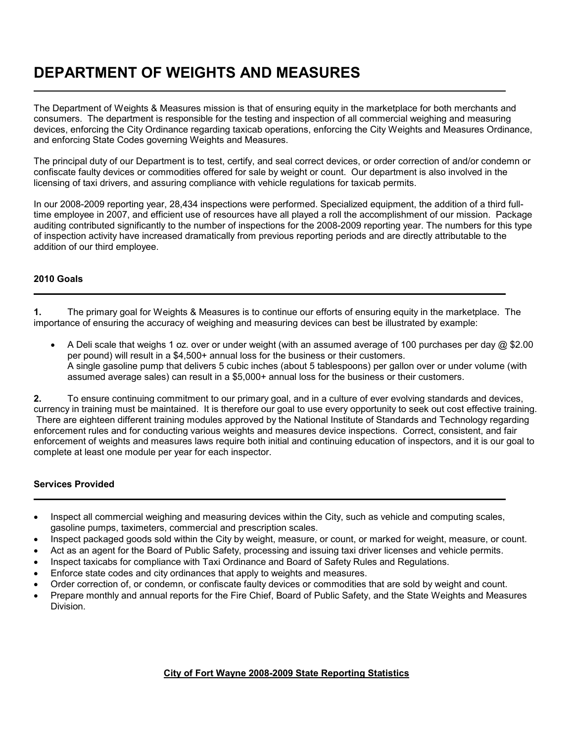# **DEPARTMENT OF WEIGHTS AND MEASURES**

The Department of Weights & Measures mission is that of ensuring equity in the marketplace for both merchants and consumers. The department is responsible for the testing and inspection of all commercial weighing and measuring devices, enforcing the City Ordinance regarding taxicab operations, enforcing the City Weights and Measures Ordinance, and enforcing State Codes governing Weights and Measures.

The principal duty of our Department is to test, certify, and seal correct devices, or order correction of and/or condemn or confiscate faulty devices or commodities offered for sale by weight or count. Our department is also involved in the licensing of taxi drivers, and assuring compliance with vehicle regulations for taxicab permits.

In our 2008-2009 reporting year, 28,434 inspections were performed. Specialized equipment, the addition of a third fulltime employee in 2007, and efficient use of resources have all played a roll the accomplishment of our mission. Package auditing contributed significantly to the number of inspections for the 2008-2009 reporting year. The numbers for this type of inspection activity have increased dramatically from previous reporting periods and are directly attributable to the addition of our third employee.

### **2010 Goals**

L

L

**1.** The primary goal for Weights & Measures is to continue our efforts of ensuring equity in the marketplace. The importance of ensuring the accuracy of weighing and measuring devices can best be illustrated by example:

• A Deli scale that weighs 1 oz. over or under weight (with an assumed average of 100 purchases per day @ \$2.00 per pound) will result in a \$4,500+ annual loss for the business or their customers. A single gasoline pump that delivers 5 cubic inches (about 5 tablespoons) per gallon over or under volume (with assumed average sales) can result in a \$5,000+ annual loss for the business or their customers.

**2.** To ensure continuing commitment to our primary goal, and in a culture of ever evolving standards and devices, currency in training must be maintained. It is therefore our goal to use every opportunity to seek out cost effective training. There are eighteen different training modules approved by the National Institute of Standards and Technology regarding enforcement rules and for conducting various weights and measures device inspections. Correct, consistent, and fair enforcement of weights and measures laws require both initial and continuing education of inspectors, and it is our goal to complete at least one module per year for each inspector.

### **Services Provided**

- Inspect all commercial weighing and measuring devices within the City, such as vehicle and computing scales, gasoline pumps, taximeters, commercial and prescription scales.
- Inspect packaged goods sold within the City by weight, measure, or count, or marked for weight, measure, or count.
- Act as an agent for the Board of Public Safety, processing and issuing taxi driver licenses and vehicle permits.
- Inspect taxicabs for compliance with Taxi Ordinance and Board of Safety Rules and Regulations.
- Enforce state codes and city ordinances that apply to weights and measures.
- Order correction of, or condemn, or confiscate faulty devices or commodities that are sold by weight and count.
- Prepare monthly and annual reports for the Fire Chief, Board of Public Safety, and the State Weights and Measures Division.

### **City of Fort Wayne 2008-2009 State Reporting Statistics**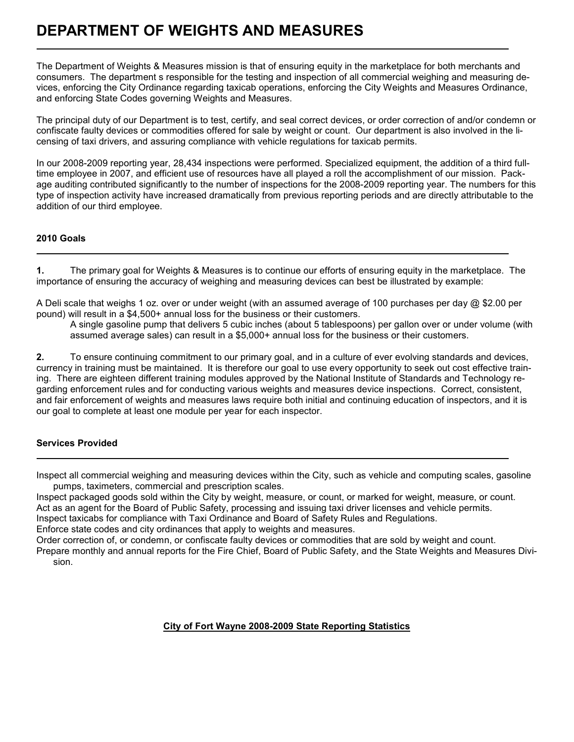# **DEPARTMENT OF WEIGHTS AND MEASURES**

The Department of Weights & Measures mission is that of ensuring equity in the marketplace for both merchants and consumers. The department s responsible for the testing and inspection of all commercial weighing and measuring devices, enforcing the City Ordinance regarding taxicab operations, enforcing the City Weights and Measures Ordinance, and enforcing State Codes governing Weights and Measures.

The principal duty of our Department is to test, certify, and seal correct devices, or order correction of and/or condemn or confiscate faulty devices or commodities offered for sale by weight or count. Our department is also involved in the licensing of taxi drivers, and assuring compliance with vehicle regulations for taxicab permits.

In our 2008-2009 reporting year, 28,434 inspections were performed. Specialized equipment, the addition of a third fulltime employee in 2007, and efficient use of resources have all played a roll the accomplishment of our mission. Package auditing contributed significantly to the number of inspections for the 2008-2009 reporting year. The numbers for this type of inspection activity have increased dramatically from previous reporting periods and are directly attributable to the addition of our third employee.

### **2010 Goals**

L

L

L

**1.** The primary goal for Weights & Measures is to continue our efforts of ensuring equity in the marketplace. The importance of ensuring the accuracy of weighing and measuring devices can best be illustrated by example:

A Deli scale that weighs 1 oz. over or under weight (with an assumed average of 100 purchases per day  $\oslash$  \$2.00 per pound) will result in a \$4,500+ annual loss for the business or their customers.

A single gasoline pump that delivers 5 cubic inches (about 5 tablespoons) per gallon over or under volume (with assumed average sales) can result in a \$5,000+ annual loss for the business or their customers.

**2.** To ensure continuing commitment to our primary goal, and in a culture of ever evolving standards and devices, currency in training must be maintained. It is therefore our goal to use every opportunity to seek out cost effective training.There are eighteen different training modules approved by the National Institute of Standards and Technology regarding enforcement rules and for conducting various weights and measures device inspections. Correct, consistent, and fair enforcement of weights and measures laws require both initial and continuing education of inspectors, and it is our goal to complete at least one module per year for each inspector.

# **Services Provided**

Inspect all commercial weighing and measuring devices within the City, such as vehicle and computing scales, gasoline pumps, taximeters, commercial and prescription scales.

Inspect packaged goods sold within the City by weight, measure, or count, or marked for weight, measure, or count. Act as an agent for the Board of Public Safety, processing and issuing taxi driver licenses and vehicle permits.

Inspect taxicabs for compliance with Taxi Ordinance and Board of Safety Rules and Regulations.

Enforce state codes and city ordinances that apply to weights and measures.

Order correction of, or condemn, or confiscate faulty devices or commodities that are sold by weight and count. Prepare monthly and annual reports for the Fire Chief, Board of Public Safety, and the State Weights and Measures Division.

# **City of Fort Wayne 2008-2009 State Reporting Statistics**